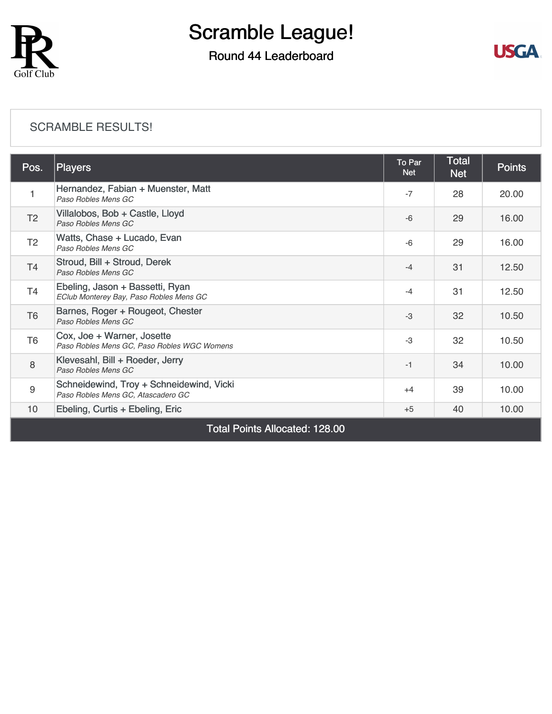

## Round 44 Leaderboard



#### [SCRAMBLE RESULTS!](https://cdn2.golfgenius.com/v2tournaments/8164218961588698979?called_from=&round_index=44)

| Pos.                                  | <b>Players</b>                                                                 | <b>To Par</b><br><b>Net</b> | <b>Total</b><br><b>Net</b> | <b>Points</b> |  |
|---------------------------------------|--------------------------------------------------------------------------------|-----------------------------|----------------------------|---------------|--|
|                                       | Hernandez, Fabian + Muenster, Matt<br>Paso Robles Mens GC                      | $-7$                        | 28                         | 20.00         |  |
| T <sub>2</sub>                        | Villalobos, Bob + Castle, Lloyd<br>Paso Robles Mens GC                         | $-6$                        | 29                         | 16.00         |  |
| T <sub>2</sub>                        | Watts, Chase + Lucado, Evan<br>Paso Robles Mens GC                             | $-6$                        | 29                         | 16.00         |  |
| T <sub>4</sub>                        | Stroud, Bill + Stroud, Derek<br>Paso Robles Mens GC                            | $-4$                        | 31                         | 12.50         |  |
| T4                                    | Ebeling, Jason + Bassetti, Ryan<br>EClub Monterey Bay, Paso Robles Mens GC     | $-4$                        | 31                         | 12.50         |  |
| T <sub>6</sub>                        | Barnes, Roger + Rougeot, Chester<br>Paso Robles Mens GC                        | $-3$                        | 32                         | 10.50         |  |
| T <sub>6</sub>                        | Cox, Joe + Warner, Josette<br>Paso Robles Mens GC, Paso Robles WGC Womens      | $-3$                        | 32                         | 10.50         |  |
| 8                                     | Klevesahl, Bill + Roeder, Jerry<br>Paso Robles Mens GC                         | $-1$                        | 34                         | 10.00         |  |
| 9                                     | Schneidewind, Troy + Schneidewind, Vicki<br>Paso Robles Mens GC, Atascadero GC | $+4$                        | 39                         | 10.00         |  |
| 10 <sup>°</sup>                       | Ebeling, Curtis + Ebeling, Eric                                                | $+5$                        | 40                         | 10.00         |  |
| <b>Total Points Allocated: 128.00</b> |                                                                                |                             |                            |               |  |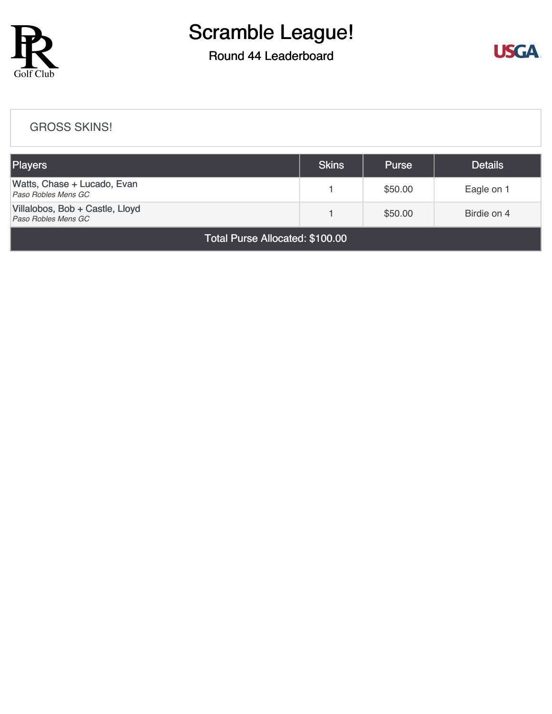

## Round 44 Leaderboard



#### [GROSS SKINS!](https://cdn2.golfgenius.com/v2tournaments/8164228607615483748?called_from=&round_index=44)

| Players                                                | <b>Skins</b> | <b>Purse</b> | <b>Details</b> |  |  |  |
|--------------------------------------------------------|--------------|--------------|----------------|--|--|--|
| Watts, Chase + Lucado, Evan<br>Paso Robles Mens GC     |              | \$50.00      | Eagle on 1     |  |  |  |
| Villalobos, Bob + Castle, Lloyd<br>Paso Robles Mens GC |              | \$50.00      | Birdie on 4    |  |  |  |
| $T \cup D$ all $\cup$ $\wedge$ $\wedge$ $\wedge$       |              |              |                |  |  |  |

Total Purse Allocated: \$100.00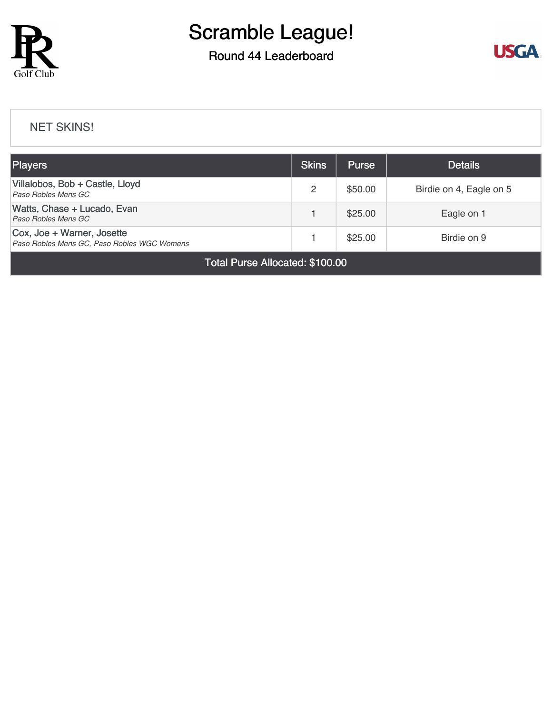

### Round 44 Leaderboard



#### [NET SKINS!](https://cdn2.golfgenius.com/v2tournaments/8164231282507693925?called_from=&round_index=44)

| <b>Players</b>                                                            |   | <b>Purse</b> | <b>Details</b>          |  |  |  |
|---------------------------------------------------------------------------|---|--------------|-------------------------|--|--|--|
| Villalobos, Bob + Castle, Lloyd<br>Paso Robles Mens GC                    | 2 | \$50.00      | Birdie on 4, Eagle on 5 |  |  |  |
| Watts, Chase + Lucado, Evan<br>Paso Robles Mens GC                        |   | \$25.00      | Eagle on 1              |  |  |  |
| Cox, Joe + Warner, Josette<br>Paso Robles Mens GC, Paso Robles WGC Womens |   | \$25.00      | Birdie on 9             |  |  |  |
| Total Purse Allocated: \$100.00                                           |   |              |                         |  |  |  |